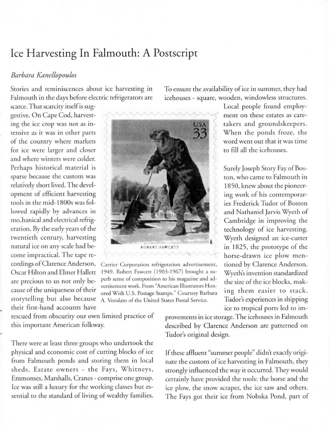## **Ice Harvesting In Falmouth: A Postscript**

## *Barbara Kanellopoulos*

Stories and reminiscences about ice harvesting in Falmouth in the days before electric refrigerators are

scarce. That scarcity itself is suggestive. On Cape Cod, harvesting the ice crop was not as intensive as it was in other parts of the country where markets for ice were larger and closer and where winters were colder. Perhaps historical material is sparse because the custom was relatively short lived. The development of efficient harvesting tools in the mid-1800s was followed rapidly by advances in mechanical and electrical refrigeration. By the early years of the twentieth century, harvesting natural ice on any scale had become impractical. The tape recordings of Clarence Anderson, Oscar Hilton and Elmer Hallett are precious to us not only because of the uniqueness of their storytelling but also because their first-hand accounts have

**ROBERT FAWCET** 

Carrier Corporarion refrigerarion adverrisemenr, 1949. Robert Fawcett (1903-1967) brought a superb sense of composirion ro his magazine and adverrisemenr work. From "American Illustrarors Honored With U.S. Postage Stamps." Courtesy Barbara A. Votolato of the United States Postal Service.

rescued from obscurity our own limited practice of this important American folkway.

There were at least three groups who undertook the physical and economic cost of cutting blocks of ice from Falmouth ponds and storing them in local sheds. Estate owners - the Fays, Whitneys, Emmonses, Marshalls, Cranes - comprise one group. Ice was still a luxury for the working classes but essential to the standard of living of wealthy families. To ensure the availability of ice in summer, they had icehouses - square, wooden, windowless structures.

> takers and groundskeepers. When the ponds froze, the word went out that it was time to fill all the icehouses. Surely Joseph Story Fay of Boston, who came to Falmouth in 1850, knew about the pioneering work of his contemporaries Frederick Tudor of Boston and Nathaniel Jarvis Wyeth of Cambridge in improving the

Local people found employment on these estates as care-

technology of ice harvesting. Wyeth designed an ice-cutter in 1825, the prototype of the horse-drawn ice plow mentioned by Clarence Anderson. Wyeth's invention standardized the size of the ice blocks, making them easier to stack. Tudor's experiences in shipping ice to tropical ports led to im-

provements in ice storage. The icehouses in Falmouth described by Clarence Anderson are patterned on Tudor's original design.

If these affluent "summer people" didn't exactly originate the custom of ice harvesting in Falmouth, they strongly influenced the way it occurred. They would certainly have provided the tools: the horse and the ice plow, the snow scraper, the ice saw and others. The Fays got their ice from Nobska Pond, part of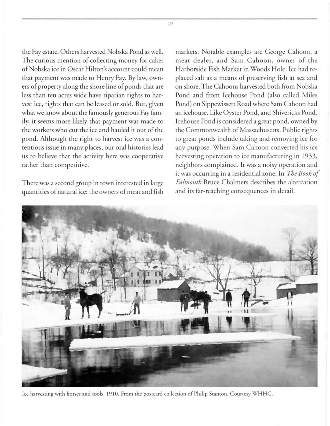the Fay estate. Others harvested Nobska Pond as well. The curious mention of collecting money for cakes ofNobska ice in Oscar Hilton's account could mean that payment was made to Henry Fay. By law, owners of property along the shore line of ponds that are less than ten acres wide have riparian rights to harvest ice, rights that can be leased or sold. Bur, given what we know about the famously generous Fay family, it seems more likely that payment was made to the workers who cut the ice and hauled it out of the pond. Although the right to harvest ice was a contentious issue in many places, our oral histories lead us to believe that the activity here was cooperative rather than competitive.

There was a second group in town interested in large quantities of natural ice: the owners of meat and fish markets. Notable examples are George Cahoon, a meat dealer, and Sam Cahoon, owner of the Harborside Fish Market in Woods Hole. Ice had replaced salt as a means of preserving fish at sea and on shore. The Cahoons harvested both from Nobska Pond and from Icehouse Pond (also called Mile Pond) on Sippewissett Road where Sam Cahoon had an icehouse. Like Oyster Pond, and Shivericks Pond, Icehouse Pond is considered a great pond, owned by the Commonwealth of Massachusetts. Public rights to great ponds include taking and removing ice for any purpose. When Sam Cahoon converted his ice harvesting operation to ice manufacturing in 1933, neighbors complained. It was a noisy operation and it was occurring in a residential zone. In *The Book of Falmouth* Bruce Chalmers describes the altercation and its far-reaching consequences in detail.



Ice harvesting with horses and tools, 1910. From the postcard collection of Philip Stanton. Courtesy WHHC.